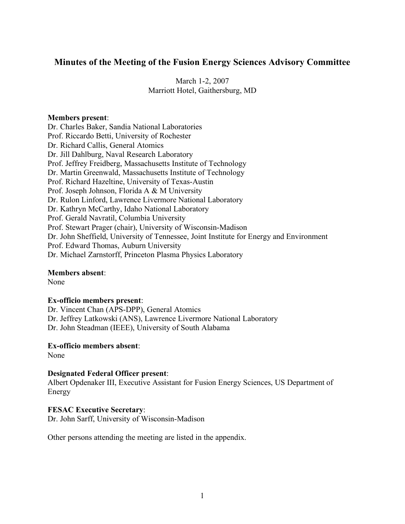# **Minutes of the Meeting of the Fusion Energy Sciences Advisory Committee**

March 1-2, 2007 Marriott Hotel, Gaithersburg, MD

#### **Members present**:

Dr. Charles Baker, Sandia National Laboratories Prof. Riccardo Betti, University of Rochester Dr. Richard Callis, General Atomics Dr. Jill Dahlburg, Naval Research Laboratory Prof. Jeffrey Freidberg, Massachusetts Institute of Technology Dr. Martin Greenwald, Massachusetts Institute of Technology Prof. Richard Hazeltine, University of Texas-Austin Prof. Joseph Johnson, Florida A & M University Dr. Rulon Linford, Lawrence Livermore National Laboratory Dr. Kathryn McCarthy, Idaho National Laboratory Prof. Gerald Navratil, Columbia University Prof. Stewart Prager (chair), University of Wisconsin-Madison Dr. John Sheffield, University of Tennessee, Joint Institute for Energy and Environment Prof. Edward Thomas, Auburn University Dr. Michael Zarnstorff, Princeton Plasma Physics Laboratory

**Members absent**:

None

#### **Ex-officio members present**:

Dr. Vincent Chan (APS-DPP), General Atomics Dr. Jeffrey Latkowski (ANS), Lawrence Livermore National Laboratory Dr. John Steadman (IEEE), University of South Alabama

**Ex-officio members absent**:

None

#### **Designated Federal Officer present**:

Albert Opdenaker III, Executive Assistant for Fusion Energy Sciences, US Department of Energy

# **FESAC Executive Secretary**:

Dr. John Sarff, University of Wisconsin-Madison

Other persons attending the meeting are listed in the appendix.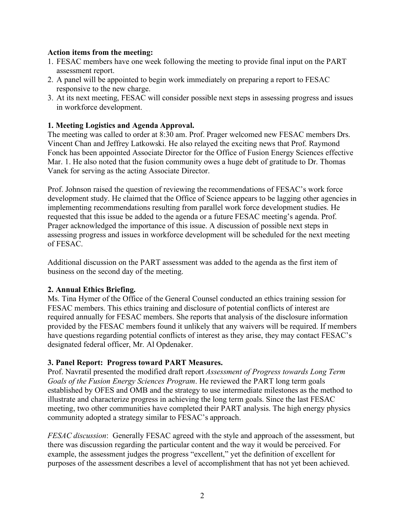### **Action items from the meeting:**

- 1. FESAC members have one week following the meeting to provide final input on the PART assessment report.
- 2. A panel will be appointed to begin work immediately on preparing a report to FESAC responsive to the new charge.
- 3. At its next meeting, FESAC will consider possible next steps in assessing progress and issues in workforce development.

# **1. Meeting Logistics and Agenda Approval.**

The meeting was called to order at 8:30 am. Prof. Prager welcomed new FESAC members Drs. Vincent Chan and Jeffrey Latkowski. He also relayed the exciting news that Prof. Raymond Fonck has been appointed Associate Director for the Office of Fusion Energy Sciences effective Mar. 1. He also noted that the fusion community owes a huge debt of gratitude to Dr. Thomas Vanek for serving as the acting Associate Director.

Prof. Johnson raised the question of reviewing the recommendations of FESAC's work force development study. He claimed that the Office of Science appears to be lagging other agencies in implementing recommendations resulting from parallel work force development studies. He requested that this issue be added to the agenda or a future FESAC meeting's agenda. Prof. Prager acknowledged the importance of this issue. A discussion of possible next steps in assessing progress and issues in workforce development will be scheduled for the next meeting of FESAC.

Additional discussion on the PART assessment was added to the agenda as the first item of business on the second day of the meeting.

# **2. Annual Ethics Briefing.**

Ms. Tina Hymer of the Office of the General Counsel conducted an ethics training session for FESAC members. This ethics training and disclosure of potential conflicts of interest are required annually for FESAC members. She reports that analysis of the disclosure information provided by the FESAC members found it unlikely that any waivers will be required. If members have questions regarding potential conflicts of interest as they arise, they may contact FESAC's designated federal officer, Mr. Al Opdenaker.

# **3. Panel Report: Progress toward PART Measures.**

Prof. Navratil presented the modified draft report *Assessment of Progress towards Long Term Goals of the Fusion Energy Sciences Program*. He reviewed the PART long term goals established by OFES and OMB and the strategy to use intermediate milestones as the method to illustrate and characterize progress in achieving the long term goals. Since the last FESAC meeting, two other communities have completed their PART analysis. The high energy physics community adopted a strategy similar to FESAC's approach.

*FESAC discussion*: Generally FESAC agreed with the style and approach of the assessment, but there was discussion regarding the particular content and the way it would be perceived. For example, the assessment judges the progress "excellent," yet the definition of excellent for purposes of the assessment describes a level of accomplishment that has not yet been achieved.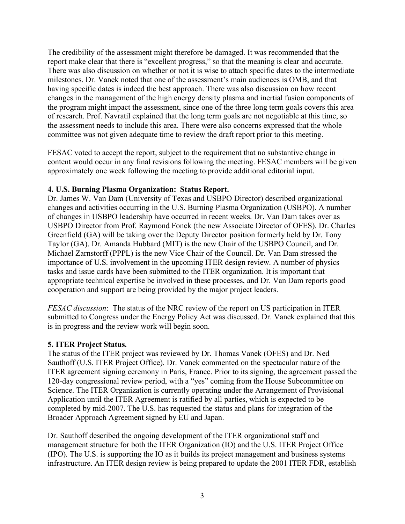The credibility of the assessment might therefore be damaged. It was recommended that the report make clear that there is "excellent progress," so that the meaning is clear and accurate. There was also discussion on whether or not it is wise to attach specific dates to the intermediate milestones. Dr. Vanek noted that one of the assessment's main audiences is OMB, and that having specific dates is indeed the best approach. There was also discussion on how recent changes in the management of the high energy density plasma and inertial fusion components of the program might impact the assessment, since one of the three long term goals covers this area of research. Prof. Navratil explained that the long term goals are not negotiable at this time, so the assessment needs to include this area. There were also concerns expressed that the whole committee was not given adequate time to review the draft report prior to this meeting.

FESAC voted to accept the report, subject to the requirement that no substantive change in content would occur in any final revisions following the meeting. FESAC members will be given approximately one week following the meeting to provide additional editorial input.

### **4. U.S. Burning Plasma Organization: Status Report.**

Dr. James W. Van Dam (University of Texas and USBPO Director) described organizational changes and activities occurring in the U.S. Burning Plasma Organization (USBPO). A number of changes in USBPO leadership have occurred in recent weeks. Dr. Van Dam takes over as USBPO Director from Prof. Raymond Fonck (the new Associate Director of OFES). Dr. Charles Greenfield (GA) will be taking over the Deputy Director position formerly held by Dr. Tony Taylor (GA). Dr. Amanda Hubbard (MIT) is the new Chair of the USBPO Council, and Dr. Michael Zarnstorff (PPPL) is the new Vice Chair of the Council. Dr. Van Dam stressed the importance of U.S. involvement in the upcoming ITER design review. A number of physics tasks and issue cards have been submitted to the ITER organization. It is important that appropriate technical expertise be involved in these processes, and Dr. Van Dam reports good cooperation and support are being provided by the major project leaders.

*FESAC discussion*: The status of the NRC review of the report on US participation in ITER submitted to Congress under the Energy Policy Act was discussed. Dr. Vanek explained that this is in progress and the review work will begin soon.

# **5. ITER Project Status.**

The status of the ITER project was reviewed by Dr. Thomas Vanek (OFES) and Dr. Ned Sauthoff (U.S. ITER Project Office). Dr. Vanek commented on the spectacular nature of the ITER agreement signing ceremony in Paris, France. Prior to its signing, the agreement passed the 120-day congressional review period, with a "yes" coming from the House Subcommittee on Science. The ITER Organization is currently operating under the Arrangement of Provisional Application until the ITER Agreement is ratified by all parties, which is expected to be completed by mid-2007. The U.S. has requested the status and plans for integration of the Broader Approach Agreement signed by EU and Japan.

Dr. Sauthoff described the ongoing development of the ITER organizational staff and management structure for both the ITER Organization (IO) and the U.S. ITER Project Office (IPO). The U.S. is supporting the IO as it builds its project management and business systems infrastructure. An ITER design review is being prepared to update the 2001 ITER FDR, establish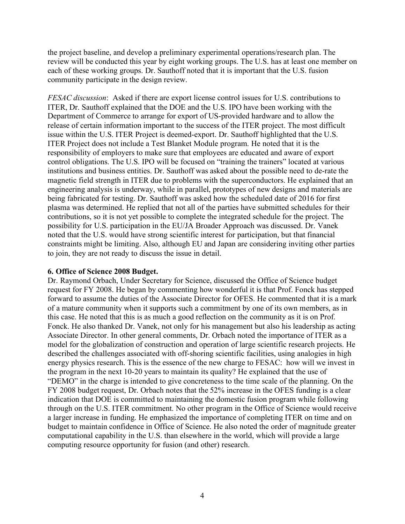the project baseline, and develop a preliminary experimental operations/research plan. The review will be conducted this year by eight working groups. The U.S. has at least one member on each of these working groups. Dr. Sauthoff noted that it is important that the U.S. fusion community participate in the design review.

*FESAC discussion*: Asked if there are export license control issues for U.S. contributions to ITER, Dr. Sauthoff explained that the DOE and the U.S. IPO have been working with the Department of Commerce to arrange for export of US-provided hardware and to allow the release of certain information important to the success of the ITER project. The most difficult issue within the U.S. ITER Project is deemed-export. Dr. Sauthoff highlighted that the U.S. ITER Project does not include a Test Blanket Module program. He noted that it is the responsibility of employers to make sure that employees are educated and aware of export control obligations. The U.S. IPO will be focused on "training the trainers" located at various institutions and business entities. Dr. Sauthoff was asked about the possible need to de-rate the magnetic field strength in ITER due to problems with the superconductors. He explained that an engineering analysis is underway, while in parallel, prototypes of new designs and materials are being fabricated for testing. Dr. Sauthoff was asked how the scheduled date of 2016 for first plasma was determined. He replied that not all of the parties have submitted schedules for their contributions, so it is not yet possible to complete the integrated schedule for the project. The possibility for U.S. participation in the EU/JA Broader Approach was discussed. Dr. Vanek noted that the U.S. would have strong scientific interest for participation, but that financial constraints might be limiting. Also, although EU and Japan are considering inviting other parties to join, they are not ready to discuss the issue in detail.

# **6. Office of Science 2008 Budget.**

Dr. Raymond Orbach, Under Secretary for Science, discussed the Office of Science budget request for FY 2008. He began by commenting how wonderful it is that Prof. Fonck has stepped forward to assume the duties of the Associate Director for OFES. He commented that it is a mark of a mature community when it supports such a commitment by one of its own members, as in this case. He noted that this is as much a good reflection on the community as it is on Prof. Fonck. He also thanked Dr. Vanek, not only for his management but also his leadership as acting Associate Director. In other general comments, Dr. Orbach noted the importance of ITER as a model for the globalization of construction and operation of large scientific research projects. He described the challenges associated with off-shoring scientific facilities, using analogies in high energy physics research. This is the essence of the new charge to FESAC: how will we invest in the program in the next 10-20 years to maintain its quality? He explained that the use of "DEMO" in the charge is intended to give concreteness to the time scale of the planning. On the FY 2008 budget request, Dr. Orbach notes that the 52% increase in the OFES funding is a clear indication that DOE is committed to maintaining the domestic fusion program while following through on the U.S. ITER commitment. No other program in the Office of Science would receive a larger increase in funding. He emphasized the importance of completing ITER on time and on budget to maintain confidence in Office of Science. He also noted the order of magnitude greater computational capability in the U.S. than elsewhere in the world, which will provide a large computing resource opportunity for fusion (and other) research.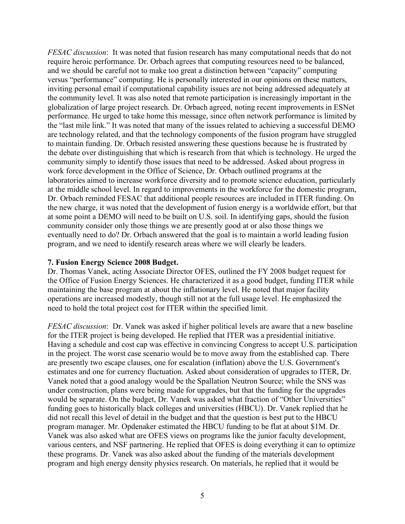*FESAC discussion*: It was noted that fusion research has many computational needs that do not require heroic performance. Dr. Orbach agrees that computing resources need to be balanced, and we should be careful not to make too great a distinction between "capacity" computing versus "performance" computing. He is personally interested in our opinions on these matters, inviting personal email if computational capability issues are not being addressed adequately at the community level. It was also noted that remote participation is increasingly important in the globalization of large project research. Dr. Orbach agreed, noting recent improvements in ESNet performance. He urged to take home this message, since often network performance is limited by the "last mile link." It was noted that many of the issues related to achieving a successful DEMO are technology related, and that the technology components of the fusion program have struggled to maintain funding. Dr. Orbach resisted answering these questions because he is frustrated by the debate over distinguishing that which is research from that which is technology. He urged the community simply to identify those issues that need to be addressed. Asked about progress in work force development in the Office of Science, Dr. Orbach outlined programs at the laboratories aimed to increase workforce diversity and to promote science education, particularly at the middle school level. In regard to improvements in the workforce for the domestic program, Dr. Orbach reminded FESAC that additional people resources are included in ITER funding. On the new charge, it was noted that the development of fusion energy is a worldwide effort, but that at some point a DEMO will need to be built on U.S. soil. In identifying gaps, should the fusion community consider only those things we are presently good at or also those things we eventually need to do? Dr. Orbach answered that the goal is to maintain a world leading fusion program, and we need to identify research areas where we will clearly be leaders.

#### **7. Fusion Energy Science 2008 Budget.**

Dr. Thomas Vanek, acting Associate Director OFES, outlined the FY 2008 budget request for the Office of Fusion Energy Sciences. He characterized it as a good budget, funding ITER while maintaining the base program at about the inflationary level. He noted that major facility operations are increased modestly, though still not at the full usage level. He emphasized the need to hold the total project cost for ITER within the specified limit.

*FESAC discussion*: Dr. Vanek was asked if higher political levels are aware that a new baseline for the ITER project is being developed. He replied that ITER was a presidential initiative. Having a schedule and cost cap was effective in convincing Congress to accept U.S. participation in the project. The worst case scenario would be to move away from the established cap. There are presently two escape clauses, one for escalation (inflation) above the U.S. Government's estimates and one for currency fluctuation. Asked about consideration of upgrades to ITER, Dr. Vanek noted that a good analogy would be the Spallation Neutron Source; while the SNS was under construction, plans were being made for upgrades, but that the funding for the upgrades would be separate. On the budget, Dr. Vanek was asked what fraction of "Other Universities" funding goes to historically black colleges and universities (HBCU). Dr. Vanek replied that he did not recall this level of detail in the budget and that the question is best put to the HBCU program manager. Mr. Opdenaker estimated the HBCU funding to be flat at about \$1M. Dr. Vanek was also asked what are OFES views on programs like the junior faculty development, various centers, and NSF partnering. He replied that OFES is doing everything it can to optimize these programs. Dr. Vanek was also asked about the funding of the materials development program and high energy density physics research. On materials, he replied that it would be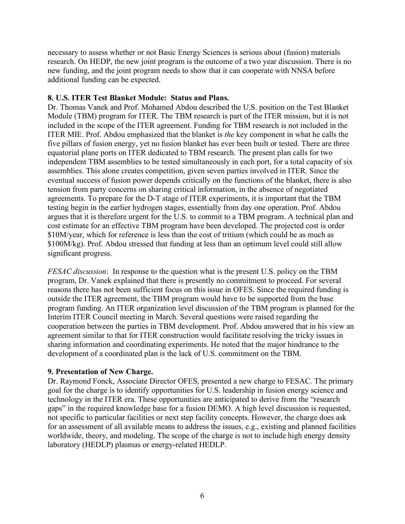necessary to assess whether or not Basic Energy Sciences is serious about (fusion) materials research. On HEDP, the new joint program is the outcome of a two year discussion. There is no new funding, and the joint program needs to show that it can cooperate with NNSA before additional funding can be expected.

### **8. U.S. ITER Test Blanket Module: Status and Plans.**

Dr. Thomas Vanek and Prof. Mohamed Abdou described the U.S. position on the Test Blanket Module (TBM) program for ITER. The TBM research is part of the ITER mission, but it is not included in the scope of the ITER agreement. Funding for TBM research is not included in the ITER MIE. Prof. Abdou emphasized that the blanket is *the* key component in what he calls the five pillars of fusion energy, yet no fusion blanket has ever been built or tested. There are three equatorial plane ports on ITER dedicated to TBM research. The present plan calls for two independent TBM assemblies to be tested simultaneously in each port, for a total capacity of six assemblies. This alone creates competition, given seven parties involved in ITER. Since the eventual success of fusion power depends critically on the functions of the blanket, there is also tension from party concerns on sharing critical information, in the absence of negotiated agreements. To prepare for the D-T stage of ITER experiments, it is important that the TBM testing begin in the earlier hydrogen stages, essentially from day one operation. Prof. Abdou argues that it is therefore urgent for the U.S. to commit to a TBM program. A technical plan and cost estimate for an effective TBM program have been developed. The projected cost is order \$10M/year, which for reference is less than the cost of tritium (which could be as much as \$100M/kg). Prof. Abdou stressed that funding at less than an optimum level could still allow significant progress.

*FESAC discussion*: In response to the question what is the present U.S. policy on the TBM program, Dr. Vanek explained that there is presently no commitment to proceed. For several reasons there has not been sufficient focus on this issue in OFES. Since the required funding is outside the ITER agreement, the TBM program would have to be supported from the base program funding. An ITER organization level discussion of the TBM program is planned for the Interim ITER Council meeting in March. Several questions were raised regarding the cooperation between the parties in TBM development. Prof. Abdou answered that in his view an agreement similar to that for ITER construction would facilitate resolving the tricky issues in sharing information and coordinating experiments. He noted that the major hindrance to the development of a coordinated plan is the lack of U.S. commitment on the TBM.

#### **9. Presentation of New Charge.**

Dr. Raymond Fonck, Associate Director OFES, presented a new charge to FESAC. The primary goal for the charge is to identify opportunities for U.S. leadership in fusion energy science and technology in the ITER era. These opportunities are anticipated to derive from the "research gaps" in the required knowledge base for a fusion DEMO. A high level discussion is requested, not specific to particular facilities or next step facility concepts. However, the charge does ask for an assessment of all available means to address the issues, e.g., existing and planned facilities worldwide, theory, and modeling. The scope of the charge is not to include high energy density laboratory (HEDLP) plasmas or energy-related HEDLP.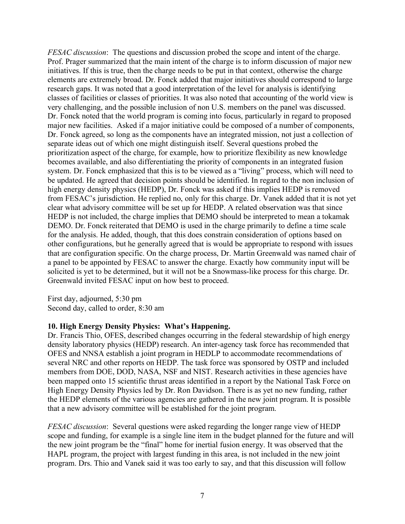*FESAC discussion*: The questions and discussion probed the scope and intent of the charge. Prof. Prager summarized that the main intent of the charge is to inform discussion of major new initiatives. If this is true, then the charge needs to be put in that context, otherwise the charge elements are extremely broad. Dr. Fonck added that major initiatives should correspond to large research gaps. It was noted that a good interpretation of the level for analysis is identifying classes of facilities or classes of priorities. It was also noted that accounting of the world view is very challenging, and the possible inclusion of non U.S. members on the panel was discussed. Dr. Fonck noted that the world program is coming into focus, particularly in regard to proposed major new facilities. Asked if a major initiative could be composed of a number of components, Dr. Fonck agreed, so long as the components have an integrated mission, not just a collection of separate ideas out of which one might distinguish itself. Several questions probed the prioritization aspect of the charge, for example, how to prioritize flexibility as new knowledge becomes available, and also differentiating the priority of components in an integrated fusion system. Dr. Fonck emphasized that this is to be viewed as a "living" process, which will need to be updated. He agreed that decision points should be identified. In regard to the non inclusion of high energy density physics (HEDP), Dr. Fonck was asked if this implies HEDP is removed from FESAC's jurisdiction. He replied no, only for this charge. Dr. Vanek added that it is not yet clear what advisory committee will be set up for HEDP. A related observation was that since HEDP is not included, the charge implies that DEMO should be interpreted to mean a tokamak DEMO. Dr. Fonck reiterated that DEMO is used in the charge primarily to define a time scale for the analysis. He added, though, that this does constrain consideration of options based on other configurations, but he generally agreed that is would be appropriate to respond with issues that are configuration specific. On the charge process, Dr. Martin Greenwald was named chair of a panel to be appointed by FESAC to answer the charge. Exactly how community input will be solicited is yet to be determined, but it will not be a Snowmass-like process for this charge. Dr. Greenwald invited FESAC input on how best to proceed.

First day, adjourned, 5:30 pm Second day, called to order, 8:30 am

#### **10. High Energy Density Physics: What's Happening.**

Dr. Francis Thio, OFES, described changes occurring in the federal stewardship of high energy density laboratory physics (HEDP) research. An inter-agency task force has recommended that OFES and NNSA establish a joint program in HEDLP to accommodate recommendations of several NRC and other reports on HEDP. The task force was sponsored by OSTP and included members from DOE, DOD, NASA, NSF and NIST. Research activities in these agencies have been mapped onto 15 scientific thrust areas identified in a report by the National Task Force on High Energy Density Physics led by Dr. Ron Davidson. There is as yet no new funding, rather the HEDP elements of the various agencies are gathered in the new joint program. It is possible that a new advisory committee will be established for the joint program.

*FESAC discussion*: Several questions were asked regarding the longer range view of HEDP scope and funding, for example is a single line item in the budget planned for the future and will the new joint program be the "final" home for inertial fusion energy. It was observed that the HAPL program, the project with largest funding in this area, is not included in the new joint program. Drs. Thio and Vanek said it was too early to say, and that this discussion will follow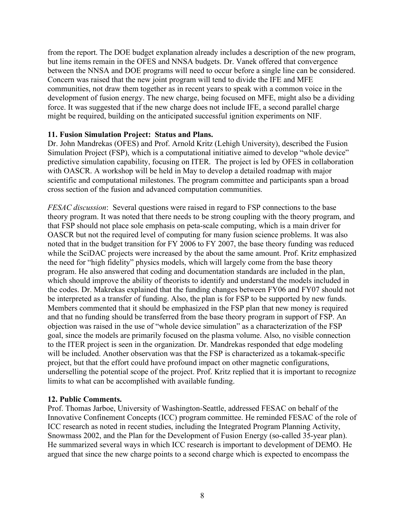from the report. The DOE budget explanation already includes a description of the new program, but line items remain in the OFES and NNSA budgets. Dr. Vanek offered that convergence between the NNSA and DOE programs will need to occur before a single line can be considered. Concern was raised that the new joint program will tend to divide the IFE and MFE communities, not draw them together as in recent years to speak with a common voice in the development of fusion energy. The new charge, being focused on MFE, might also be a dividing force. It was suggested that if the new charge does not include IFE, a second parallel charge might be required, building on the anticipated successful ignition experiments on NIF.

### **11. Fusion Simulation Project: Status and Plans.**

Dr. John Mandrekas (OFES) and Prof. Arnold Kritz (Lehigh University), described the Fusion Simulation Project (FSP), which is a computational initiative aimed to develop "whole device" predictive simulation capability, focusing on ITER. The project is led by OFES in collaboration with OASCR. A workshop will be held in May to develop a detailed roadmap with major scientific and computational milestones. The program committee and participants span a broad cross section of the fusion and advanced computation communities.

*FESAC discussion*: Several questions were raised in regard to FSP connections to the base theory program. It was noted that there needs to be strong coupling with the theory program, and that FSP should not place sole emphasis on peta-scale computing, which is a main driver for OASCR but not the required level of computing for many fusion science problems. It was also noted that in the budget transition for FY 2006 to FY 2007, the base theory funding was reduced while the SciDAC projects were increased by the about the same amount. Prof. Kritz emphasized the need for "high fidelity" physics models, which will largely come from the base theory program. He also answered that coding and documentation standards are included in the plan, which should improve the ability of theorists to identify and understand the models included in the codes. Dr. Makrekas explained that the funding changes between FY06 and FY07 should not be interpreted as a transfer of funding. Also, the plan is for FSP to be supported by new funds. Members commented that it should be emphasized in the FSP plan that new money is required and that no funding should be transferred from the base theory program in support of FSP. An objection was raised in the use of "whole device simulation" as a characterization of the FSP goal, since the models are primarily focused on the plasma volume. Also, no visible connection to the ITER project is seen in the organization. Dr. Mandrekas responded that edge modeling will be included. Another observation was that the FSP is characterized as a tokamak-specific project, but that the effort could have profound impact on other magnetic configurations, underselling the potential scope of the project. Prof. Kritz replied that it is important to recognize limits to what can be accomplished with available funding.

#### **12. Public Comments.**

Prof. Thomas Jarboe, University of Washington-Seattle, addressed FESAC on behalf of the Innovative Confinement Concepts (ICC) program committee. He reminded FESAC of the role of ICC research as noted in recent studies, including the Integrated Program Planning Activity, Snowmass 2002, and the Plan for the Development of Fusion Energy (so-called 35-year plan). He summarized several ways in which ICC research is important to development of DEMO. He argued that since the new charge points to a second charge which is expected to encompass the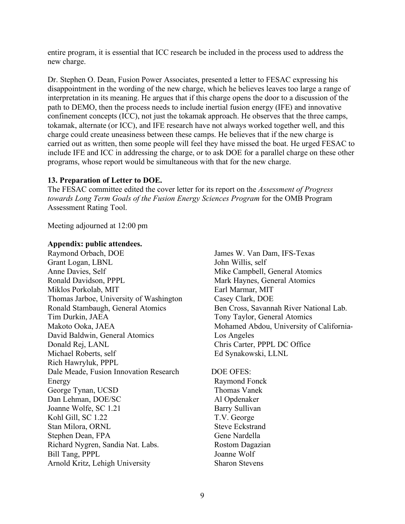entire program, it is essential that ICC research be included in the process used to address the new charge.

Dr. Stephen O. Dean, Fusion Power Associates, presented a letter to FESAC expressing his disappointment in the wording of the new charge, which he believes leaves too large a range of interpretation in its meaning. He argues that if this charge opens the door to a discussion of the path to DEMO, then the process needs to include inertial fusion energy (IFE) and innovative confinement concepts (ICC), not just the tokamak approach. He observes that the three camps, tokamak, alternate (or ICC), and IFE research have not always worked together well, and this charge could create uneasiness between these camps. He believes that if the new charge is carried out as written, then some people will feel they have missed the boat. He urged FESAC to include IFE and ICC in addressing the charge, or to ask DOE for a parallel charge on these other programs, whose report would be simultaneous with that for the new charge.

# **13. Preparation of Letter to DOE.**

The FESAC committee edited the cover letter for its report on the *Assessment of Progress towards Long Term Goals of the Fusion Energy Sciences Program* for the OMB Program Assessment Rating Tool.

Meeting adjourned at 12:00 pm

### **Appendix: public attendees.**

Raymond Orbach, DOE Grant Logan, LBNL Anne Davies, Self Ronald Davidson, PPPL Miklos Porkolab, MIT Thomas Jarboe, University of Washington Ronald Stambaugh, General Atomics Tim Durkin, JAEA Makoto Ooka, JAEA David Baldwin, General Atomics Donald Rej, LANL Michael Roberts, self Rich Hawryluk, PPPL Dale Meade, Fusion Innovation Research Energy George Tynan, UCSD Dan Lehman, DOE/SC Joanne Wolfe, SC 1.21 Kohl Gill, SC 1.22 Stan Milora, ORNL Stephen Dean, FPA Richard Nygren, Sandia Nat. Labs. Bill Tang, PPPL Arnold Kritz, Lehigh University

James W. Van Dam, IFS-Texas John Willis, self Mike Campbell, General Atomics Mark Haynes, General Atomics Earl Marmar, MIT Casey Clark, DOE Ben Cross, Savannah River National Lab. Tony Taylor, General Atomics Mohamed Abdou, University of California-Los Angeles Chris Carter, PPPL DC Office Ed Synakowski, LLNL

# DOE OFES:

Raymond Fonck Thomas Vanek Al Opdenaker Barry Sullivan T.V. George Steve Eckstrand Gene Nardella Rostom Dagazian Joanne Wolf Sharon Stevens